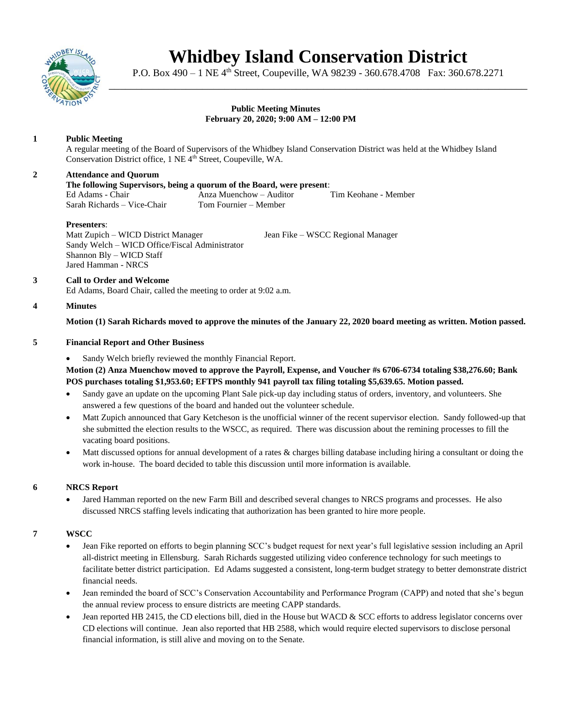

# **Whidbey Island Conservation District**

P.O. Box 490 – 1 NE 4<sup>th</sup> Street, Coupeville, WA 98239 - 360.678.4708 Fax: 360.678.2271 \_\_\_\_\_\_\_\_\_\_\_\_\_\_\_\_\_\_\_\_\_\_\_\_\_\_\_\_\_\_\_\_\_\_\_\_\_\_\_\_\_\_\_\_\_\_\_\_\_\_\_\_\_\_\_\_\_\_\_\_\_\_\_\_\_\_\_\_\_\_\_\_\_\_\_\_

#### **Public Meeting Minutes February 20, 2020; 9:00 AM – 12:00 PM**

# **1 Public Meeting**

A regular meeting of the Board of Supervisors of the Whidbey Island Conservation District was held at the Whidbey Island Conservation District office, 1 NE 4<sup>th</sup> Street, Coupeville, WA.

## **2 Attendance and Quorum**

## **The following Supervisors, being a quorum of the Board, were present**:

Ed Adams - Chair Anza Muenchow – Auditor Tim Keohane - Member Sarah Richards – Vice-Chair Tom Fournier – Member

#### **Presenters**:

Matt Zupich – WICD District Manager Jean Fike – WSCC Regional Manager Sandy Welch – WICD Office/Fiscal Administrator Shannon Bly – WICD Staff Jared Hamman - NRCS

#### **3 Call to Order and Welcome**

Ed Adams, Board Chair, called the meeting to order at 9:02 a.m.

## **4 Minutes**

**Motion (1) Sarah Richards moved to approve the minutes of the January 22, 2020 board meeting as written. Motion passed.** 

## **5 Financial Report and Other Business**

Sandy Welch briefly reviewed the monthly Financial Report.

**Motion (2) Anza Muenchow moved to approve the Payroll, Expense, and Voucher #s 6706-6734 totaling \$38,276.60; Bank POS purchases totaling \$1,953.60; EFTPS monthly 941 payroll tax filing totaling \$5,639.65. Motion passed.** 

- Sandy gave an update on the upcoming Plant Sale pick-up day including status of orders, inventory, and volunteers. She answered a few questions of the board and handed out the volunteer schedule.
- Matt Zupich announced that Gary Ketcheson is the unofficial winner of the recent supervisor election. Sandy followed-up that she submitted the election results to the WSCC, as required. There was discussion about the remining processes to fill the vacating board positions.
- Matt discussed options for annual development of a rates & charges billing database including hiring a consultant or doing the work in-house. The board decided to table this discussion until more information is available.

# **6 NRCS Report**

• Jared Hamman reported on the new Farm Bill and described several changes to NRCS programs and processes. He also discussed NRCS staffing levels indicating that authorization has been granted to hire more people.

# **7 WSCC**

- Jean Fike reported on efforts to begin planning SCC's budget request for next year's full legislative session including an April all-district meeting in Ellensburg. Sarah Richards suggested utilizing video conference technology for such meetings to facilitate better district participation. Ed Adams suggested a consistent, long-term budget strategy to better demonstrate district financial needs.
- Jean reminded the board of SCC's Conservation Accountability and Performance Program (CAPP) and noted that she's begun the annual review process to ensure districts are meeting CAPP standards.
- Jean reported HB 2415, the CD elections bill, died in the House but WACD & SCC efforts to address legislator concerns over CD elections will continue. Jean also reported that HB 2588, which would require elected supervisors to disclose personal financial information, is still alive and moving on to the Senate.